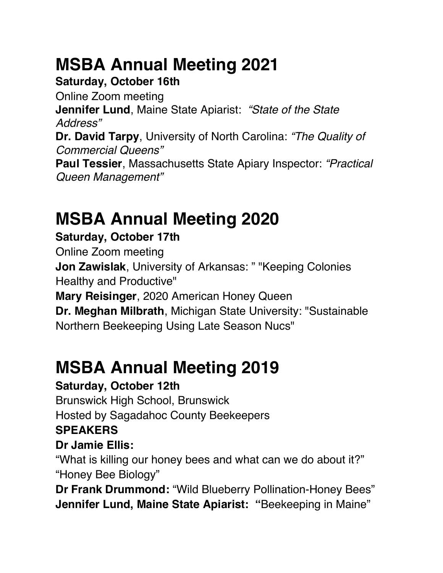# **MSBA Annual Meeting 2021**

#### **Saturday, October 16th**

Online Zoom meeting **Jennifer Lund**, Maine State Apiarist: *"State of the State Address"* **Dr. David Tarpy**, University of North Carolina: *"The Quality of Commercial Queens"*  **Paul Tessier**, Massachusetts State Apiary Inspector: *"Practical Queen Management"* 

# **MSBA Annual Meeting 2020**

### **Saturday, October 17th**

Online Zoom meeting **Jon Zawislak**, University of Arkansas: " "Keeping Colonies Healthy and Productive" **Mary Reisinger**, 2020 American Honey Queen **Dr. Meghan Milbrath**, Michigan State University: "Sustainable Northern Beekeeping Using Late Season Nucs"

# **MSBA Annual Meeting 2019**

### **Saturday, October 12th**

Brunswick High School, Brunswick Hosted by Sagadahoc County Beekeepers **SPEAKERS**

### **Dr Jamie Ellis:**

"What is killing our honey bees and what can we do about it?" "Honey Bee Biology"

**Dr Frank Drummond:** "Wild Blueberry Pollination-Honey Bees" **Jennifer Lund, Maine State Apiarist: "**Beekeeping in Maine"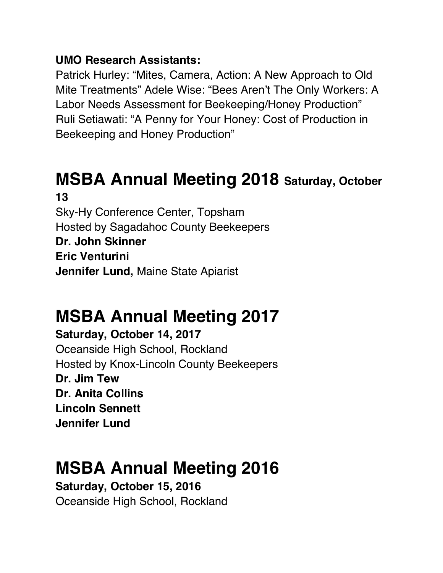#### **UMO Research Assistants:**

Patrick Hurley: "Mites, Camera, Action: A New Approach to Old Mite Treatments" Adele Wise: "Bees Aren't The Only Workers: A Labor Needs Assessment for Beekeeping/Honey Production" Ruli Setiawati: "A Penny for Your Honey: Cost of Production in Beekeeping and Honey Production"

### **MSBA Annual Meeting 2018 Saturday, October 13**

Sky-Hy Conference Center, Topsham Hosted by Sagadahoc County Beekeepers **Dr. John Skinner Eric Venturini Jennifer Lund,** Maine State Apiarist

# **MSBA Annual Meeting 2017**

**Saturday, October 14, 2017**

Oceanside High School, Rockland Hosted by Knox-Lincoln County Beekeepers **Dr. Jim Tew Dr. Anita Collins Lincoln Sennett Jennifer Lund** 

### **MSBA Annual Meeting 2016**

**Saturday, October 15, 2016** Oceanside High School, Rockland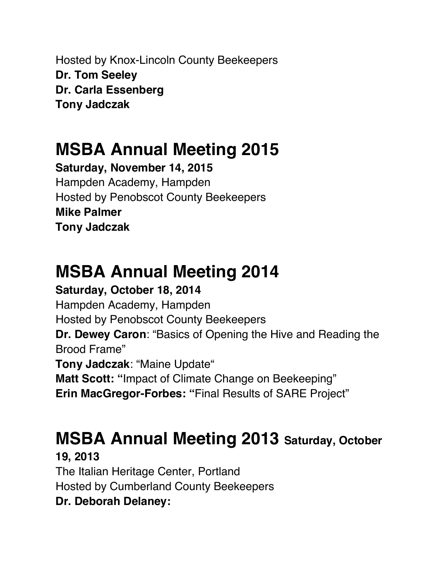Hosted by Knox-Lincoln County Beekeepers **Dr. Tom Seeley Dr. Carla Essenberg Tony Jadczak** 

### **MSBA Annual Meeting 2015**

**Saturday, November 14, 2015** Hampden Academy, Hampden Hosted by Penobscot County Beekeepers **Mike Palmer Tony Jadczak**

# **MSBA Annual Meeting 2014**

**Saturday, October 18, 2014** Hampden Academy, Hampden Hosted by Penobscot County Beekeepers **Dr. Dewey Caron**: "Basics of Opening the Hive and Reading the Brood Frame" **Tony Jadczak**: "Maine Update" **Matt Scott: "**Impact of Climate Change on Beekeeping" **Erin MacGregor-Forbes: "**Final Results of SARE Project"

# **MSBA Annual Meeting 2013 Saturday, October**

**19, 2013** The Italian Heritage Center, Portland Hosted by Cumberland County Beekeepers **Dr. Deborah Delaney:**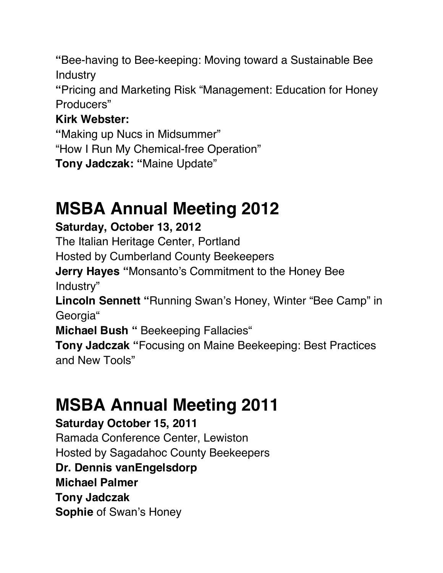**"**Bee-having to Bee-keeping: Moving toward a Sustainable Bee **Industry** 

**"**Pricing and Marketing Risk "Management: Education for Honey Producers"

### **Kirk Webster:**

**"**Making up Nucs in Midsummer"

"How I Run My Chemical-free Operation"

**Tony Jadczak: "**Maine Update"

### **MSBA Annual Meeting 2012**

### **Saturday, October 13, 2012**

The Italian Heritage Center, Portland

Hosted by Cumberland County Beekeepers

**Jerry Hayes "**Monsanto's Commitment to the Honey Bee Industry"

**Lincoln Sennett "**Running Swan's Honey, Winter "Bee Camp" in Georgia"

**Michael Bush "** Beekeeping Fallacies"

**Tony Jadczak "**Focusing on Maine Beekeeping: Best Practices and New Tools"

### **MSBA Annual Meeting 2011**

#### **Saturday October 15, 2011**

Ramada Conference Center, Lewiston

Hosted by Sagadahoc County Beekeepers

#### **Dr. Dennis vanEngelsdorp**

**Michael Palmer** 

**Tony Jadczak**

**Sophie** of Swan's Honey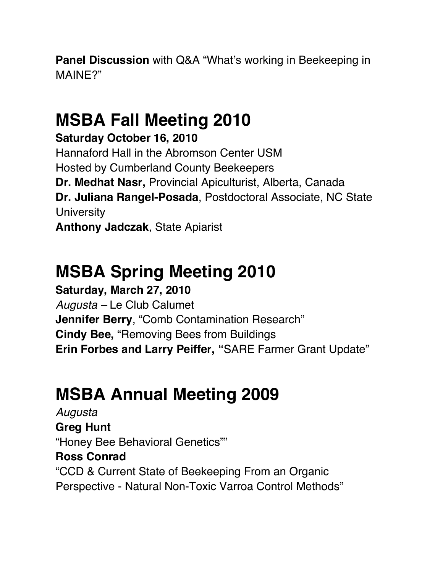**Panel Discussion** with Q&A "What's working in Beekeeping in MAINE?"

# **MSBA Fall Meeting 2010**

**Saturday October 16, 2010**

Hannaford Hall in the Abromson Center USM Hosted by Cumberland County Beekeepers **Dr. Medhat Nasr,** Provincial Apiculturist, Alberta, Canada **Dr. Juliana Rangel-Posada**, Postdoctoral Associate, NC State **University** 

**Anthony Jadczak**, State Apiarist

# **MSBA Spring Meeting 2010**

**Saturday, March 27, 2010** *Augusta –* Le Club Calumet **Jennifer Berry**, "Comb Contamination Research" **Cindy Bee,** "Removing Bees from Buildings **Erin Forbes and Larry Peiffer, "**SARE Farmer Grant Update"

# **MSBA Annual Meeting 2009**

*Augusta*  **Greg Hunt**  "Honey Bee Behavioral Genetics"" **Ross Conrad**  "CCD & Current State of Beekeeping From an Organic Perspective - Natural Non-Toxic Varroa Control Methods"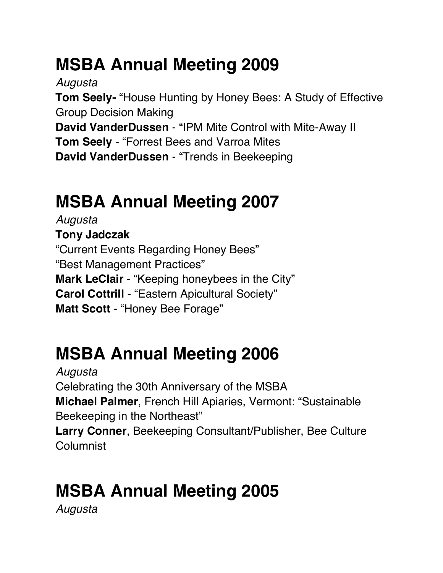# **MSBA Annual Meeting 2009**

*Augusta*

**Tom Seely-** "House Hunting by Honey Bees: A Study of Effective Group Decision Making **David VanderDussen** - "IPM Mite Control with Mite-Away II

**Tom Seely** - "Forrest Bees and Varroa Mites **David VanderDussen** - "Trends in Beekeeping

# **MSBA Annual Meeting 2007**

*Augusta*  **Tony Jadczak**  "Current Events Regarding Honey Bees" "Best Management Practices" **Mark LeClair** - "Keeping honeybees in the City" **Carol Cottrill** - "Eastern Apicultural Society" **Matt Scott** - "Honey Bee Forage"

# **MSBA Annual Meeting 2006**

*Augusta* Celebrating the 30th Anniversary of the MSBA **Michael Palmer**, French Hill Apiaries, Vermont: "Sustainable Beekeeping in the Northeast" **Larry Conner**, Beekeeping Consultant/Publisher, Bee Culture Columnist

# **MSBA Annual Meeting 2005**

*Augusta*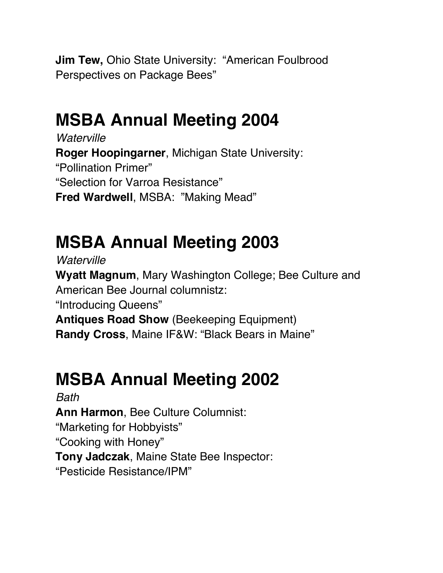**Jim Tew,** Ohio State University: "American Foulbrood Perspectives on Package Bees"

### **MSBA Annual Meeting 2004**

*Waterville* **Roger Hoopingarner**, Michigan State University: "Pollination Primer" "Selection for Varroa Resistance" **Fred Wardwell**, MSBA: "Making Mead"

# **MSBA Annual Meeting 2003**

*Waterville*

**Wyatt Magnum**, Mary Washington College; Bee Culture and American Bee Journal columnistz:

"Introducing Queens"

**Antiques Road Show** (Beekeeping Equipment)

**Randy Cross**, Maine IF&W: "Black Bears in Maine"

# **MSBA Annual Meeting 2002**

*Bath* **Ann Harmon**, Bee Culture Columnist: "Marketing for Hobbyists" "Cooking with Honey" **Tony Jadczak**, Maine State Bee Inspector: "Pesticide Resistance/IPM"